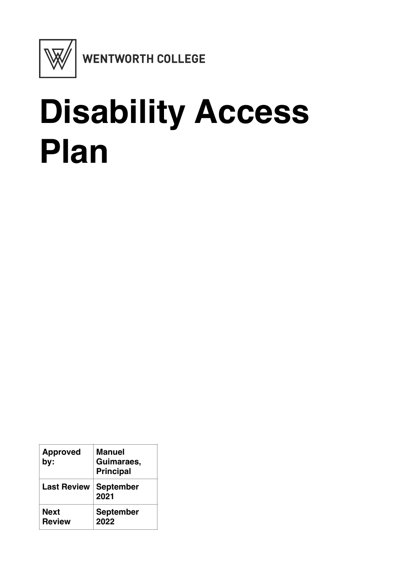

## **Disability Access Plan**

| <b>Approved</b><br>by: | Manuel<br>Guimaraes,<br><b>Principal</b> |
|------------------------|------------------------------------------|
| <b>Last Review</b>     | <b>September</b><br>2021                 |
| Next<br><b>Review</b>  | <b>September</b><br>2022                 |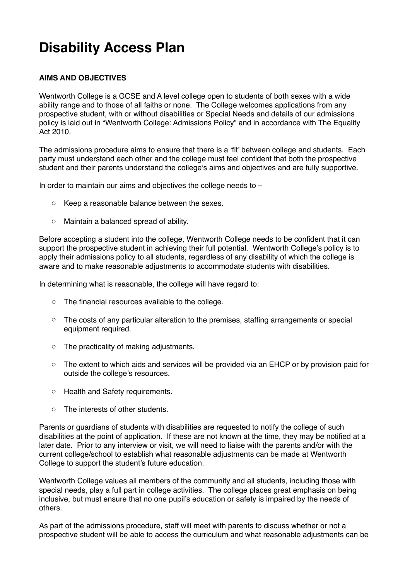## **Disability Access Plan**

## **AIMS AND OBJECTIVES**

Wentworth College is a GCSE and A level college open to students of both sexes with a wide ability range and to those of all faiths or none. The College welcomes applications from any prospective student, with or without disabilities or Special Needs and details of our admissions policy is laid out in "Wentworth College: Admissions Policy" and in accordance with The Equality Act 2010.

The admissions procedure aims to ensure that there is a 'fit' between college and students. Each party must understand each other and the college must feel confident that both the prospective student and their parents understand the college's aims and objectives and are fully supportive.

In order to maintain our aims and objectives the college needs to  $-$ 

- o Keep a reasonable balance between the sexes.
- o Maintain a balanced spread of ability.

Before accepting a student into the college, Wentworth College needs to be confident that it can support the prospective student in achieving their full potential. Wentworth College's policy is to apply their admissions policy to all students, regardless of any disability of which the college is aware and to make reasonable adjustments to accommodate students with disabilities.

In determining what is reasonable, the college will have regard to:

- o The financial resources available to the college.
- o The costs of any particular alteration to the premises, staffing arrangements or special equipment required.
- o The practicality of making adjustments.
- o The extent to which aids and services will be provided via an EHCP or by provision paid for outside the college's resources.
- o Health and Safety requirements.
- o The interests of other students.

Parents or guardians of students with disabilities are requested to notify the college of such disabilities at the point of application. If these are not known at the time, they may be notified at a later date. Prior to any interview or visit, we will need to liaise with the parents and/or with the current college/school to establish what reasonable adjustments can be made at Wentworth College to support the student's future education.

Wentworth College values all members of the community and all students, including those with special needs, play a full part in college activities. The college places great emphasis on being inclusive, but must ensure that no one pupil's education or safety is impaired by the needs of others.

As part of the admissions procedure, staff will meet with parents to discuss whether or not a prospective student will be able to access the curriculum and what reasonable adjustments can be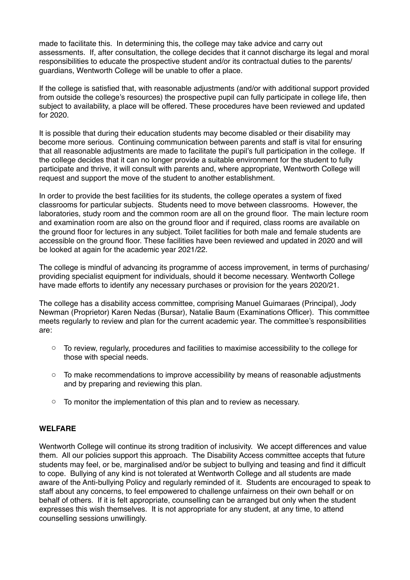made to facilitate this. In determining this, the college may take advice and carry out assessments. If, after consultation, the college decides that it cannot discharge its legal and moral responsibilities to educate the prospective student and/or its contractual duties to the parents/ guardians, Wentworth College will be unable to offer a place.

If the college is satisfied that, with reasonable adjustments (and/or with additional support provided from outside the college's resources) the prospective pupil can fully participate in college life, then subject to availability, a place will be offered. These procedures have been reviewed and updated for 2020.

It is possible that during their education students may become disabled or their disability may become more serious. Continuing communication between parents and staff is vital for ensuring that all reasonable adjustments are made to facilitate the pupil's full participation in the college. If the college decides that it can no longer provide a suitable environment for the student to fully participate and thrive, it will consult with parents and, where appropriate, Wentworth College will request and support the move of the student to another establishment.

In order to provide the best facilities for its students, the college operates a system of fixed classrooms for particular subjects. Students need to move between classrooms. However, the laboratories, study room and the common room are all on the ground floor. The main lecture room and examination room are also on the ground floor and if required, class rooms are available on the ground floor for lectures in any subject. Toilet facilities for both male and female students are accessible on the ground floor. These facilities have been reviewed and updated in 2020 and will be looked at again for the academic year 2021/22.

The college is mindful of advancing its programme of access improvement, in terms of purchasing/ providing specialist equipment for individuals, should it become necessary. Wentworth College have made efforts to identify any necessary purchases or provision for the years 2020/21.

The college has a disability access committee, comprising Manuel Guimaraes (Principal), Jody Newman (Proprietor) Karen Nedas (Bursar), Natalie Baum (Examinations Officer). This committee meets regularly to review and plan for the current academic year. The committee's responsibilities are:

- $\circ$  To review, regularly, procedures and facilities to maximise accessibility to the college for those with special needs.
- $\circ$  To make recommendations to improve accessibility by means of reasonable adjustments and by preparing and reviewing this plan.
- o To monitor the implementation of this plan and to review as necessary.

## **WELFARE**

Wentworth College will continue its strong tradition of inclusivity. We accept differences and value them. All our policies support this approach. The Disability Access committee accepts that future students may feel, or be, marginalised and/or be subject to bullying and teasing and find it difficult to cope. Bullying of any kind is not tolerated at Wentworth College and all students are made aware of the Anti-bullying Policy and regularly reminded of it. Students are encouraged to speak to staff about any concerns, to feel empowered to challenge unfairness on their own behalf or on behalf of others. If it is felt appropriate, counselling can be arranged but only when the student expresses this wish themselves. It is not appropriate for any student, at any time, to attend counselling sessions unwillingly.